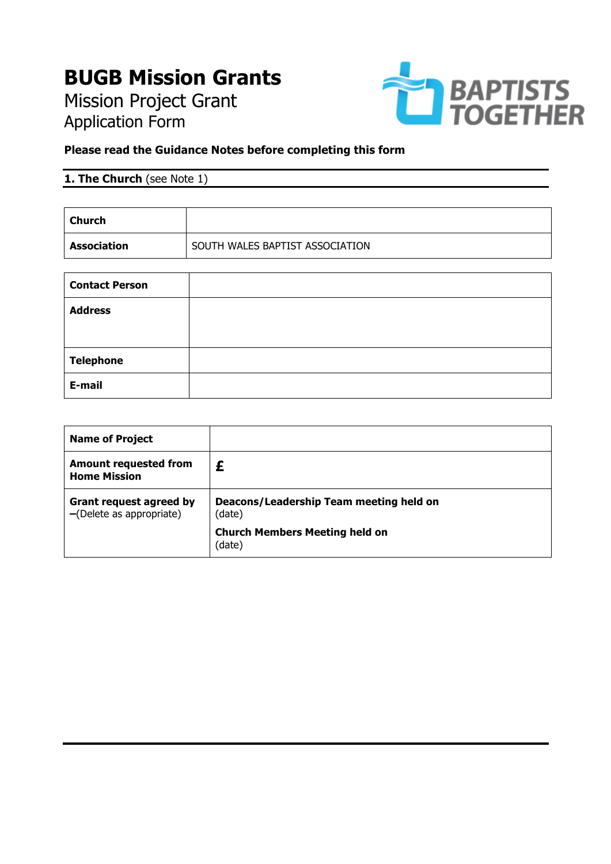# **BUGB Mission Grants**

Mission Project Grant Application Form



### **Please read the Guidance Notes before completing this form**

# **1. The Church** (see Note 1)

| Church      |                                 |
|-------------|---------------------------------|
| Association | SOUTH WALES BAPTIST ASSOCIATION |

| <b>Contact Person</b> |  |
|-----------------------|--|
| <b>Address</b>        |  |
|                       |  |
| <b>Telephone</b>      |  |
| E-mail                |  |

| <b>Name of Project</b>                                        |                                                   |  |
|---------------------------------------------------------------|---------------------------------------------------|--|
| <b>Amount requested from</b><br><b>Home Mission</b>           |                                                   |  |
| <b>Grant request agreed by</b><br>$-$ (Delete as appropriate) | Deacons/Leadership Team meeting held on<br>(date) |  |
|                                                               | <b>Church Members Meeting held on</b><br>(date)   |  |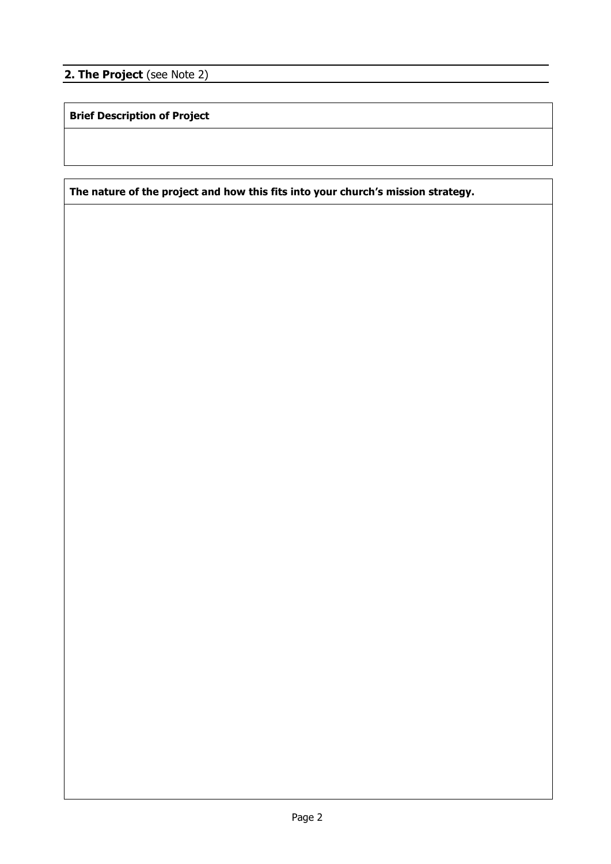**2. The Project** (see Note 2)

**Brief Description of Project**

**The nature of the project and how this fits into your church's mission strategy.**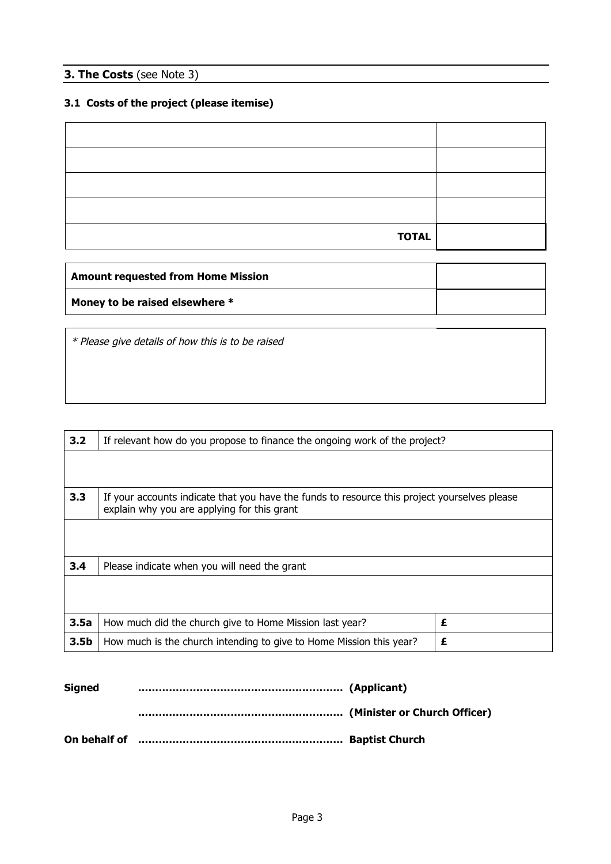#### **3. The Costs** (see Note 3)

## **3.1 Costs of the project (please itemise)**

| <b>TOTAL</b> |  |
|--------------|--|

| <b>Amount requested from Home Mission</b> |  |
|-------------------------------------------|--|
| Money to be raised elsewhere *            |  |

\* Please give details of how this is to be raised

| 3.2              | If relevant how do you propose to finance the ongoing work of the project?                                                                  |   |
|------------------|---------------------------------------------------------------------------------------------------------------------------------------------|---|
|                  |                                                                                                                                             |   |
| 3.3              | If your accounts indicate that you have the funds to resource this project yourselves please<br>explain why you are applying for this grant |   |
|                  |                                                                                                                                             |   |
| 3.4              | Please indicate when you will need the grant                                                                                                |   |
|                  |                                                                                                                                             |   |
| 3.5a             | How much did the church give to Home Mission last year?                                                                                     | £ |
| 3.5 <sub>b</sub> | How much is the church intending to give to Home Mission this year?                                                                         | £ |

| <b>Signed</b> |                                                                |  |
|---------------|----------------------------------------------------------------|--|
|               |                                                                |  |
|               | On behalf of music continuum controlled and the Baptist Church |  |